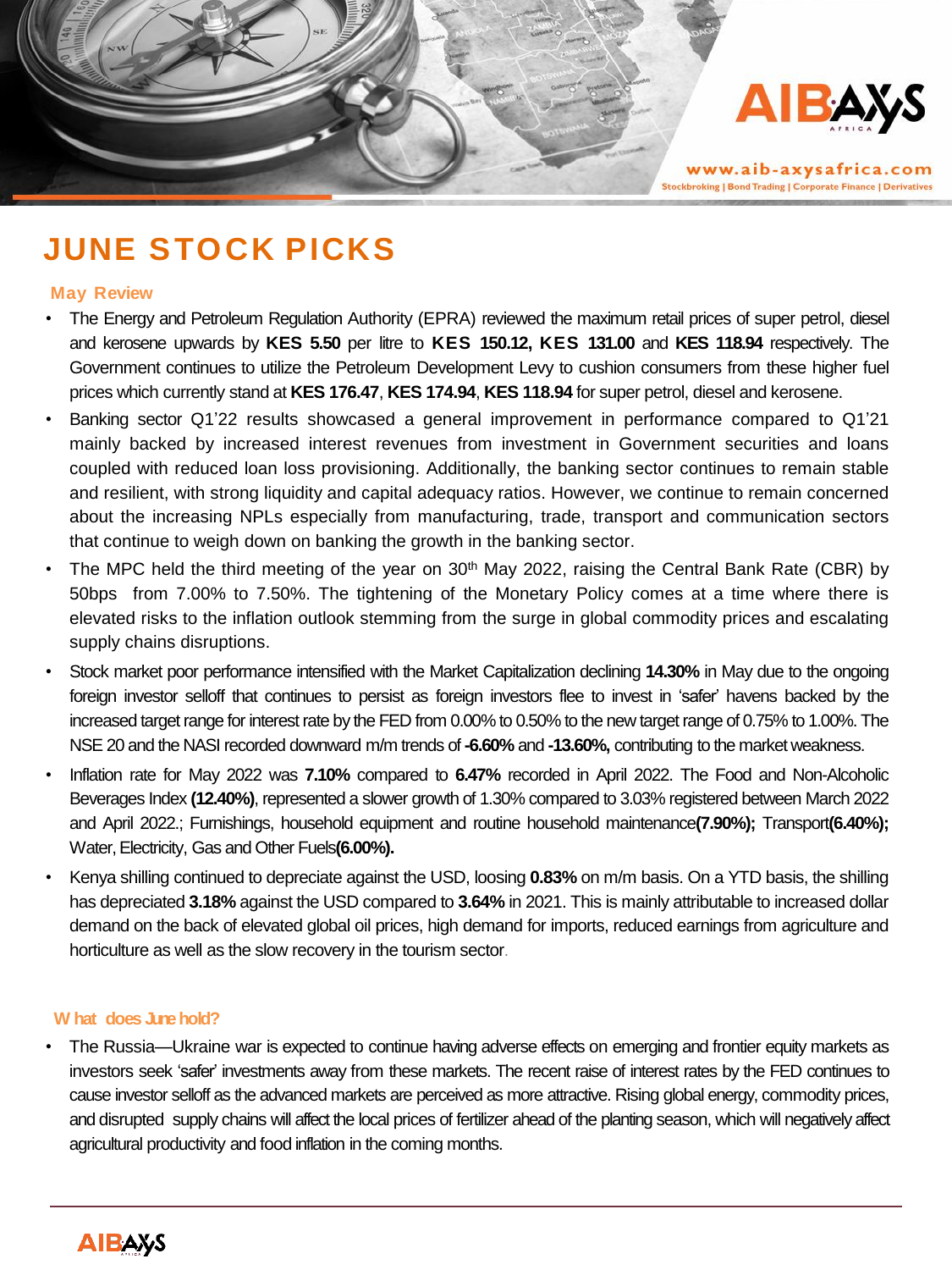

www.aib-axysafrica.com **Stockbroking | Bond Trading | Corporate Finance | Derivatives** 

# **JUNE STOCK PICKS**

#### **May Review**

- The Energy and Petroleum Regulation Authority (EPRA) reviewed the maximum retail prices of super petrol, diesel and kerosene upwards by **KES 5.50** per litre to **KES 150.12, KES 131.00** and **KES 118.94** respectively. The Government continues to utilize the Petroleum Development Levy to cushion consumers from these higher fuel prices which currently stand at **KES 176.47**, **KES 174.94**, **KES 118.94** for super petrol, diesel and kerosene.
- Banking sector Q1'22 results showcased a general improvement in performance compared to Q1'21 mainly backed by increased interest revenues from investment in Government securities and loans coupled with reduced loan loss provisioning. Additionally, the banking sector continues to remain stable and resilient, with strong liquidity and capital adequacy ratios. However, we continue to remain concerned about the increasing NPLs especially from manufacturing, trade, transport and communication sectors that continue to weigh down on banking the growth in the banking sector.
- The MPC held the third meeting of the year on  $30<sup>th</sup>$  May 2022, raising the Central Bank Rate (CBR) by 50bps from 7.00% to 7.50%. The tightening of the Monetary Policy comes at a time where there is elevated risks to the inflation outlook stemming from the surge in global commodity prices and escalating supply chains disruptions.
- Stock market poor performance intensified with the Market Capitalization declining **14.30%** in May due to the ongoing foreign investor selloff that continues to persist as foreign investors flee to invest in 'safer' havens backed by the increased target range for interest rate by the FED from 0.00% to 0.50% to the new target range of 0.75% to 1.00%. The NSE 20 and the NASI recorded downward m/m trends of **-6.60%** and **-13.60%,** contributing to the market weakness.
- Inflation rate for May 2022 was **7.10%** compared to **6.47%** recorded in April 2022. The Food and Non-Alcoholic Beverages Index **(12.40%)**, represented a slower growth of 1.30% compared to 3.03% registered between March 2022 and April 2022.; Furnishings, household equipment and routine household maintenance**(7.90%);** Transport**(6.40%);** Water,Electricity, Gas and Other Fuels**(6.00%).**
- Kenya shilling continued to depreciate against the USD, loosing **0.83%** on m/m basis. On a YTD basis, the shilling has depreciated **3.18%** against the USD compared to **3.64%** in 2021. This is mainly attributable to increased dollar demand on the back of elevated global oil prices, high demand for imports, reduced earnings from agriculture and horticulture as well as the slow recovery in the tourism sector.

#### **W hat does June hold?**

• The Russia—Ukraine war is expected to continue having adverse effects on emerging and frontier equity markets as investors seek 'safer' investments away from these markets. The recent raise of interest rates by the FED continues to cause investor selloff as the advanced markets are perceived as more attractive. Rising global energy, commodity prices, and disrupted supply chains will affect the local prices of fertilizer ahead of the planting season, which will negatively affect agricultural productivity and food inflation in the coming months.

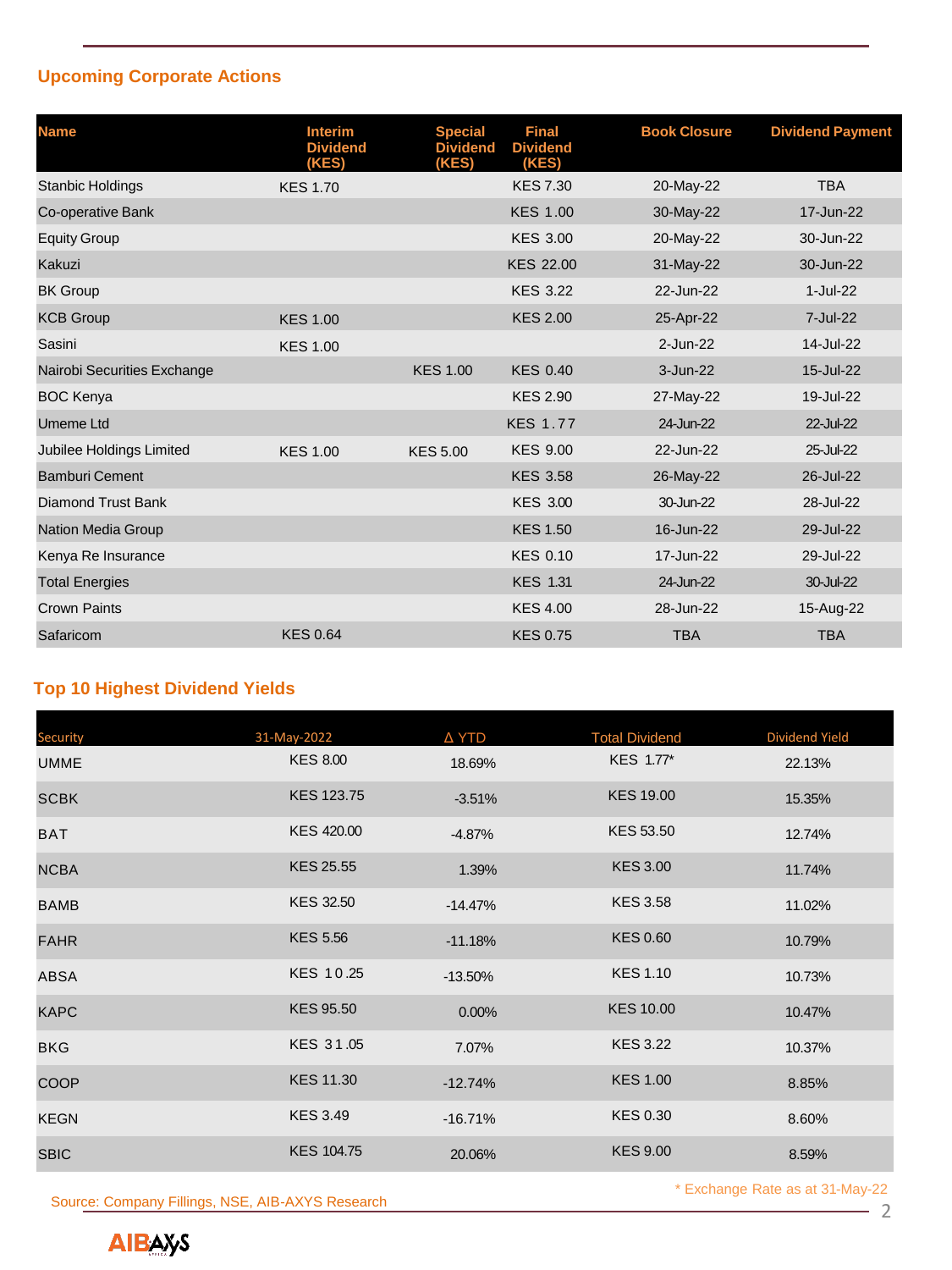## **Upcoming Corporate Actions**

| <b>Name</b>                 | <b>Interim</b><br><b>Dividend</b><br>(KES) | <b>Special</b><br><b>Dividend</b><br>(KES) | <b>Final</b><br><b>Dividend</b><br>(KES) | <b>Book Closure</b> | <b>Dividend Payment</b> |
|-----------------------------|--------------------------------------------|--------------------------------------------|------------------------------------------|---------------------|-------------------------|
| <b>Stanbic Holdings</b>     | <b>KES 1.70</b>                            |                                            | <b>KES 7.30</b>                          | 20-May-22           | <b>TBA</b>              |
| Co-operative Bank           |                                            |                                            | <b>KES 1.00</b>                          | 30-May-22           | 17-Jun-22               |
| <b>Equity Group</b>         |                                            |                                            | <b>KES 3.00</b>                          | 20-May-22           | 30-Jun-22               |
| Kakuzi                      |                                            |                                            | <b>KES 22.00</b>                         | 31-May-22           | 30-Jun-22               |
| <b>BK Group</b>             |                                            |                                            | <b>KES 3.22</b>                          | 22-Jun-22           | 1-Jul-22                |
| <b>KCB Group</b>            | <b>KES 1.00</b>                            |                                            | <b>KES 2.00</b>                          | 25-Apr-22           | 7-Jul-22                |
| Sasini                      | <b>KES 1.00</b>                            |                                            |                                          | $2$ -Jun-22         | 14-Jul-22               |
| Nairobi Securities Exchange |                                            | <b>KES 1.00</b>                            | <b>KES 0.40</b>                          | 3-Jun-22            | 15-Jul-22               |
| <b>BOC Kenya</b>            |                                            |                                            | <b>KES 2.90</b>                          | 27-May-22           | 19-Jul-22               |
| <b>Umeme Ltd</b>            |                                            |                                            | <b>KES 1.77</b>                          | 24-Jun-22           | 22-Jul-22               |
| Jubilee Holdings Limited    | <b>KES 1.00</b>                            | <b>KES 5.00</b>                            | <b>KES 9.00</b>                          | 22-Jun-22           | 25-Jul-22               |
| <b>Bamburi Cement</b>       |                                            |                                            | <b>KES 3.58</b>                          | 26-May-22           | 26-Jul-22               |
| <b>Diamond Trust Bank</b>   |                                            |                                            | <b>KES 3.00</b>                          | 30-Jun-22           | 28-Jul-22               |
| Nation Media Group          |                                            |                                            | <b>KES 1.50</b>                          | 16-Jun-22           | 29-Jul-22               |
| Kenya Re Insurance          |                                            |                                            | <b>KES 0.10</b>                          | 17-Jun-22           | 29-Jul-22               |
| <b>Total Energies</b>       |                                            |                                            | <b>KES 1.31</b>                          | 24-Jun-22           | 30-Jul-22               |
| <b>Crown Paints</b>         |                                            |                                            | <b>KES 4.00</b>                          | 28-Jun-22           | 15-Aug-22               |
| Safaricom                   | <b>KES 0.64</b>                            |                                            | <b>KES 0.75</b>                          | <b>TBA</b>          | <b>TBA</b>              |

## **Top 10 Highest Dividend Yields**

| <b>Security</b> | 31-May-2022       | Δ YTD     | <b>Total Dividend</b> | Dividend Yield |
|-----------------|-------------------|-----------|-----------------------|----------------|
| <b>UMME</b>     | <b>KES 8.00</b>   | 18.69%    | KES 1.77*             | 22.13%         |
| <b>SCBK</b>     | <b>KES 123.75</b> | $-3.51%$  | <b>KES 19.00</b>      | 15.35%         |
| <b>BAT</b>      | <b>KES 420.00</b> | $-4.87%$  | <b>KES 53.50</b>      | 12.74%         |
| <b>NCBA</b>     | <b>KES 25.55</b>  | 1.39%     | <b>KES 3.00</b>       | 11.74%         |
| <b>BAMB</b>     | <b>KES 32.50</b>  | $-14.47%$ | <b>KES 3.58</b>       | 11.02%         |
| <b>FAHR</b>     | <b>KES 5.56</b>   | $-11.18%$ | <b>KES 0.60</b>       | 10.79%         |
| <b>ABSA</b>     | KES 10.25         | $-13.50%$ | <b>KES 1.10</b>       | 10.73%         |
| <b>KAPC</b>     | <b>KES 95.50</b>  | 0.00%     | <b>KES 10.00</b>      | 10.47%         |
| <b>BKG</b>      | KES 31.05         | 7.07%     | <b>KES 3.22</b>       | 10.37%         |
| <b>COOP</b>     | <b>KES 11.30</b>  | $-12.74%$ | <b>KES 1.00</b>       | 8.85%          |
| <b>KEGN</b>     | <b>KES 3.49</b>   | $-16.71%$ | <b>KES 0.30</b>       | 8.60%          |
| <b>SBIC</b>     | <b>KES 104.75</b> | 20.06%    | <b>KES 9.00</b>       | 8.59%          |

Source: Company Fillings, NSE, AIB-AXYS Research 2

\* Exchange Rate as at 31-May-22

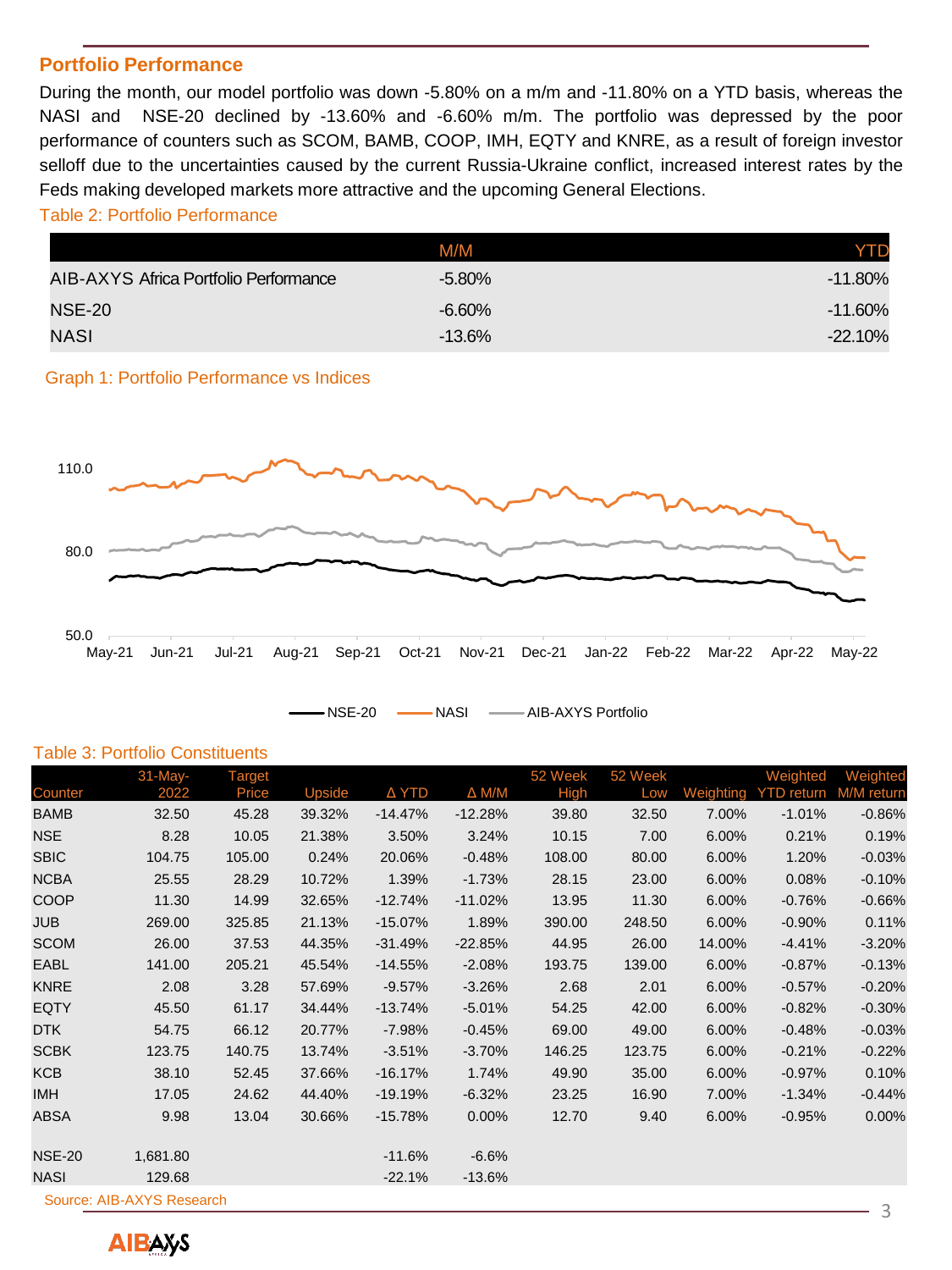### **Portfolio Performance**

During the month, our model portfolio was down -5.80% on a m/m and -11.80% on a YTD basis, whereas the NASI and NSE-20 declined by -13.60% and -6.60% m/m. The portfolio was depressed by the poor performance of counters such as SCOM, BAMB, COOP, IMH, EQTY and KNRE, as a result of foreign investor selloff due to the uncertainties caused by the current Russia-Ukraine conflict, increased interest rates by the Feds making developed markets more attractive and the upcoming General Elections.

## Table 2: Portfolio Performance

|                                       | M/M       | YTD        |
|---------------------------------------|-----------|------------|
| AIB-AXYS Africa Portfolio Performance | $-5.80\%$ | $-11.80\%$ |
| <b>NSE-20</b>                         | $-6.60\%$ | $-11.60\%$ |
| NASI                                  | $-13.6%$  | $-22.10%$  |

Graph 1: Portfolio Performance vs Indices



NSE-20 - NASI - AIB-AXYS Portfolio

#### Table 3: Portfolio Constituents

|                                | 31-May-  | Target |        |           |                 | 52 Week | 52 Week |           | Weighted          | Weighted   |
|--------------------------------|----------|--------|--------|-----------|-----------------|---------|---------|-----------|-------------------|------------|
| Counter                        | 2022     | Price  | Upside | Δ YTD     | $\triangle M/M$ | High    | Low     | Weighting | <b>YTD</b> return | M/M return |
| <b>BAMB</b>                    | 32.50    | 45.28  | 39.32% | $-14.47%$ | $-12.28%$       | 39.80   | 32.50   | 7.00%     | $-1.01%$          | $-0.86%$   |
| <b>NSE</b>                     | 8.28     | 10.05  | 21.38% | 3.50%     | 3.24%           | 10.15   | 7.00    | 6.00%     | 0.21%             | 0.19%      |
| <b>SBIC</b>                    | 104.75   | 105.00 | 0.24%  | 20.06%    | $-0.48%$        | 108.00  | 80.00   | 6.00%     | 1.20%             | $-0.03%$   |
| <b>NCBA</b>                    | 25.55    | 28.29  | 10.72% | 1.39%     | $-1.73%$        | 28.15   | 23.00   | 6.00%     | 0.08%             | $-0.10%$   |
| COOP                           | 11.30    | 14.99  | 32.65% | $-12.74%$ | $-11.02%$       | 13.95   | 11.30   | 6.00%     | $-0.76%$          | $-0.66%$   |
| <b>JUB</b>                     | 269.00   | 325.85 | 21.13% | $-15.07%$ | 1.89%           | 390.00  | 248.50  | 6.00%     | $-0.90%$          | 0.11%      |
| <b>SCOM</b>                    | 26.00    | 37.53  | 44.35% | $-31.49%$ | $-22.85%$       | 44.95   | 26.00   | 14.00%    | $-4.41%$          | $-3.20%$   |
| <b>EABL</b>                    | 141.00   | 205.21 | 45.54% | $-14.55%$ | $-2.08%$        | 193.75  | 139.00  | 6.00%     | $-0.87%$          | $-0.13%$   |
| <b>KNRE</b>                    | 2.08     | 3.28   | 57.69% | $-9.57\%$ | $-3.26%$        | 2.68    | 2.01    | 6.00%     | $-0.57%$          | $-0.20%$   |
| <b>EQTY</b>                    | 45.50    | 61.17  | 34.44% | $-13.74%$ | $-5.01%$        | 54.25   | 42.00   | 6.00%     | $-0.82%$          | $-0.30%$   |
| <b>DTK</b>                     | 54.75    | 66.12  | 20.77% | $-7.98%$  | $-0.45%$        | 69.00   | 49.00   | 6.00%     | $-0.48%$          | $-0.03%$   |
| <b>SCBK</b>                    | 123.75   | 140.75 | 13.74% | $-3.51%$  | $-3.70%$        | 146.25  | 123.75  | 6.00%     | $-0.21%$          | $-0.22%$   |
| <b>KCB</b>                     | 38.10    | 52.45  | 37.66% | $-16.17%$ | 1.74%           | 49.90   | 35.00   | 6.00%     | $-0.97%$          | 0.10%      |
| <b>IMH</b>                     | 17.05    | 24.62  | 44.40% | $-19.19%$ | $-6.32%$        | 23.25   | 16.90   | 7.00%     | $-1.34%$          | $-0.44%$   |
| <b>ABSA</b>                    | 9.98     | 13.04  | 30.66% | $-15.78%$ | 0.00%           | 12.70   | 9.40    | 6.00%     | $-0.95%$          | 0.00%      |
| <b>NSE-20</b>                  | 1,681.80 |        |        | $-11.6%$  | $-6.6%$         |         |         |           |                   |            |
| <b>NASI</b>                    | 129.68   |        |        | $-22.1%$  | $-13.6%$        |         |         |           |                   |            |
| Source: AIB-AXYS Research<br>3 |          |        |        |           |                 |         |         |           |                   |            |

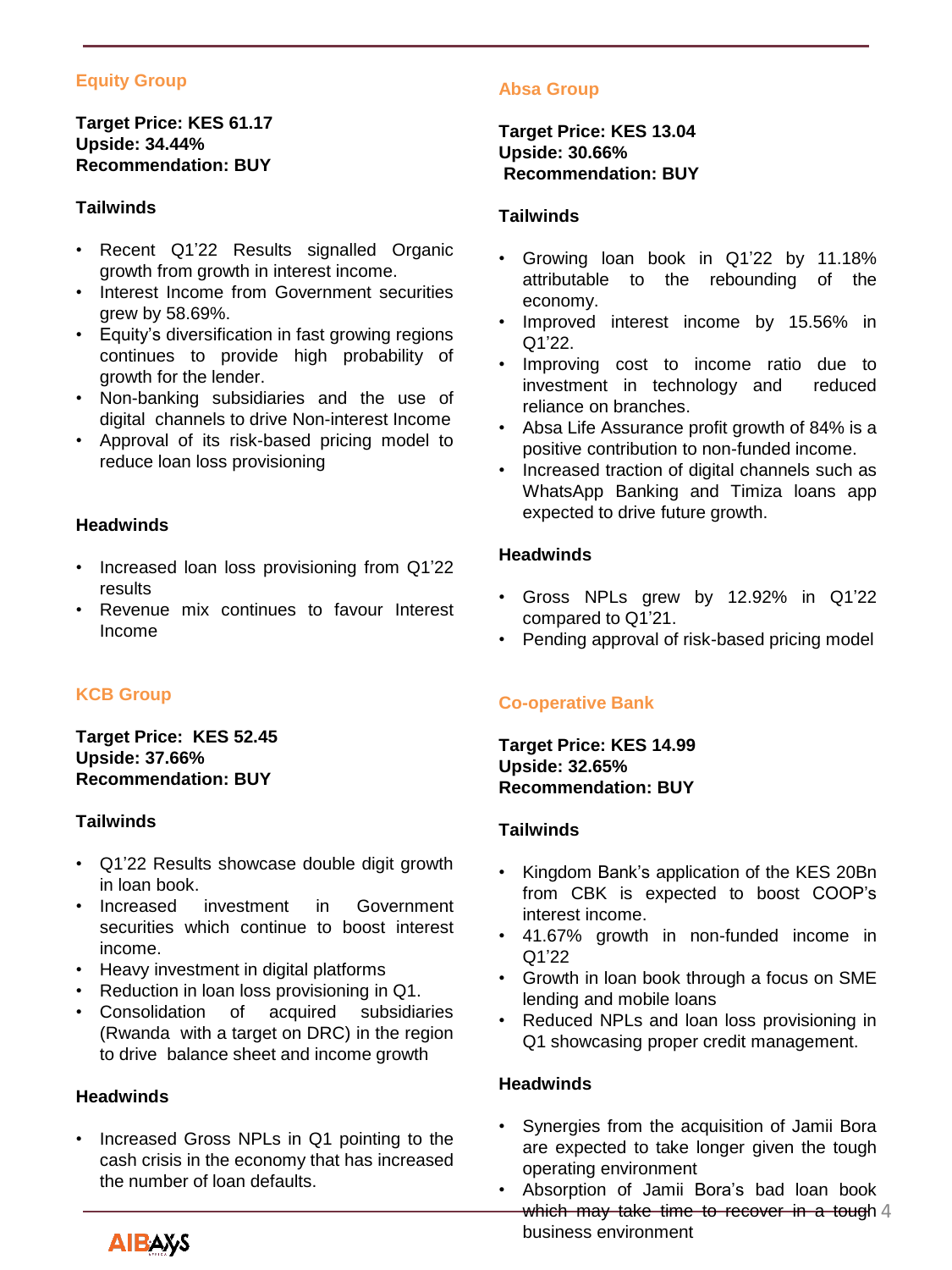## **Equity Group**

## **Target Price: KES 61.17 Upside: 34.44% Recommendation: BUY**

## **Tailwinds**

- Recent Q1'22 Results signalled Organic growth from growth in interest income.
- Interest Income from Government securities grew by 58.69%.
- Equity's diversification in fast growing regions continues to provide high probability of growth for the lender.
- Non-banking subsidiaries and the use of digital channels to drive Non-interest Income
- Approval of its risk-based pricing model to reduce loan loss provisioning

#### **Headwinds**

- Increased loan loss provisioning from Q1'22 results
- Revenue mix continues to favour Interest Income

## **KCB Group**

#### **Target Price: KES 52.45 Upside: 37.66% Recommendation: BUY**

#### **Tailwinds**

- Q1'22 Results showcase double digit growth in loan book.
- Increased investment in Government securities which continue to boost interest income.
- Heavy investment in digital platforms
- Reduction in loan loss provisioning in Q1.
- Consolidation of acquired subsidiaries (Rwanda with a target on DRC) in the region to drive balance sheet and income growth

#### **Headwinds**

• Increased Gross NPLs in Q1 pointing to the cash crisis in the economy that has increased the number of loan defaults.

## **Absa Group**

**Target Price: KES 13.04 Upside: 30.66% Recommendation: BUY**

#### **Tailwinds**

- Growing loan book in Q1'22 by 11.18% attributable to the rebounding of the economy.
- Improved interest income by 15.56% in Q1'22.
- Improving cost to income ratio due to investment in technology and reduced reliance on branches.
- Absa Life Assurance profit growth of 84% is a positive contribution to non-funded income.
- Increased traction of digital channels such as WhatsApp Banking and Timiza loans app expected to drive future growth.

## **Headwinds**

- Gross NPLs grew by 12.92% in Q1'22 compared to Q1'21.
- Pending approval of risk-based pricing model

## **Co-operative Bank**

**Target Price: KES 14.99 Upside: 32.65% Recommendation: BUY**

#### **Tailwinds**

- Kingdom Bank's application of the KES 20Bn from CBK is expected to boost COOP's interest income.
- 41.67% growth in non-funded income in Q1'22
- Growth in loan book through a focus on SME lending and mobile loans
- Reduced NPLs and loan loss provisioning in Q1 showcasing proper credit management.

#### **Headwinds**

- Synergies from the acquisition of Jamii Bora are expected to take longer given the tough operating environment
- Absorption of Jamii Bora's bad loan book which may take time to recover in a tough 4 business environment

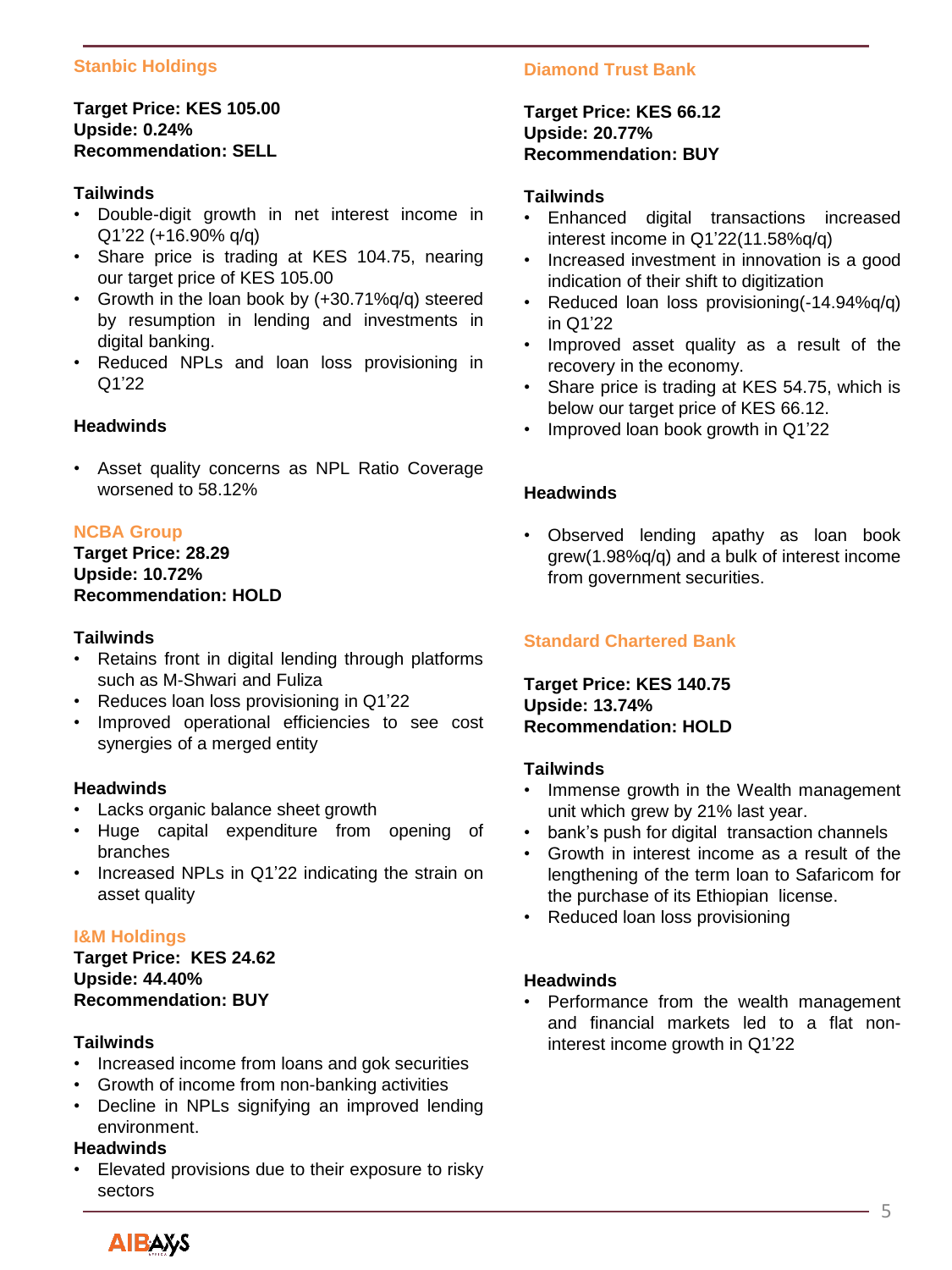## **Stanbic Holdings**

## **Target Price: KES 105.00 Upside: 0.24% Recommendation: SELL**

#### **Tailwinds**

- Double-digit growth in net interest income in Q1'22 (+16.90% q/q)
- Share price is trading at KES 104.75, nearing our target price of KES 105.00
- Growth in the loan book by (+30.71%q/q) steered by resumption in lending and investments in digital banking.
- Reduced NPLs and loan loss provisioning in Q1'22

#### **Headwinds**

• Asset quality concerns as NPL Ratio Coverage worsened to 58.12%

#### **NCBA Group**

## **Target Price: 28.29 Upside: 10.72% Recommendation: HOLD**

#### **Tailwinds**

- Retains front in digital lending through platforms such as M-Shwari and Fuliza
- Reduces loan loss provisioning in Q1'22
- Improved operational efficiencies to see cost synergies of a merged entity

#### **Headwinds**

- Lacks organic balance sheet growth
- Huge capital expenditure from opening of branches
- Increased NPLs in Q1'22 indicating the strain on asset quality

#### **I&M Holdings**

**Target Price: KES 24.62 Upside: 44.40% Recommendation: BUY**

#### **Tailwinds**

- Increased income from loans and gok securities
- Growth of income from non-banking activities
- Decline in NPLs signifying an improved lending environment.

## **Headwinds**

• Elevated provisions due to their exposure to risky sectors

## **Diamond Trust Bank**

#### **Target Price: KES 66.12 Upside: 20.77% Recommendation: BUY**

#### **Tailwinds**

- Enhanced digital transactions increased interest income in Q1'22(11.58%q/q)
- Increased investment in innovation is a good indication of their shift to digitization
- Reduced loan loss provisioning(-14.94%q/q) in Q1'22
- Improved asset quality as a result of the recovery in the economy.
- Share price is trading at KES 54.75, which is below our target price of KES 66.12.
- Improved loan book growth in Q1'22

#### **Headwinds**

• Observed lending apathy as loan book grew(1.98%q/q) and a bulk of interest income from government securities.

## **Standard Chartered Bank**

**Target Price: KES 140.75 Upside: 13.74% Recommendation: HOLD**

#### **Tailwinds**

- Immense growth in the Wealth management unit which grew by 21% last year.
- bank's push for digital transaction channels
- Growth in interest income as a result of the lengthening of the term loan to Safaricom for the purchase of its Ethiopian license.
- Reduced loan loss provisioning

#### **Headwinds**

• Performance from the wealth management and financial markets led to a flat noninterest income growth in Q1'22

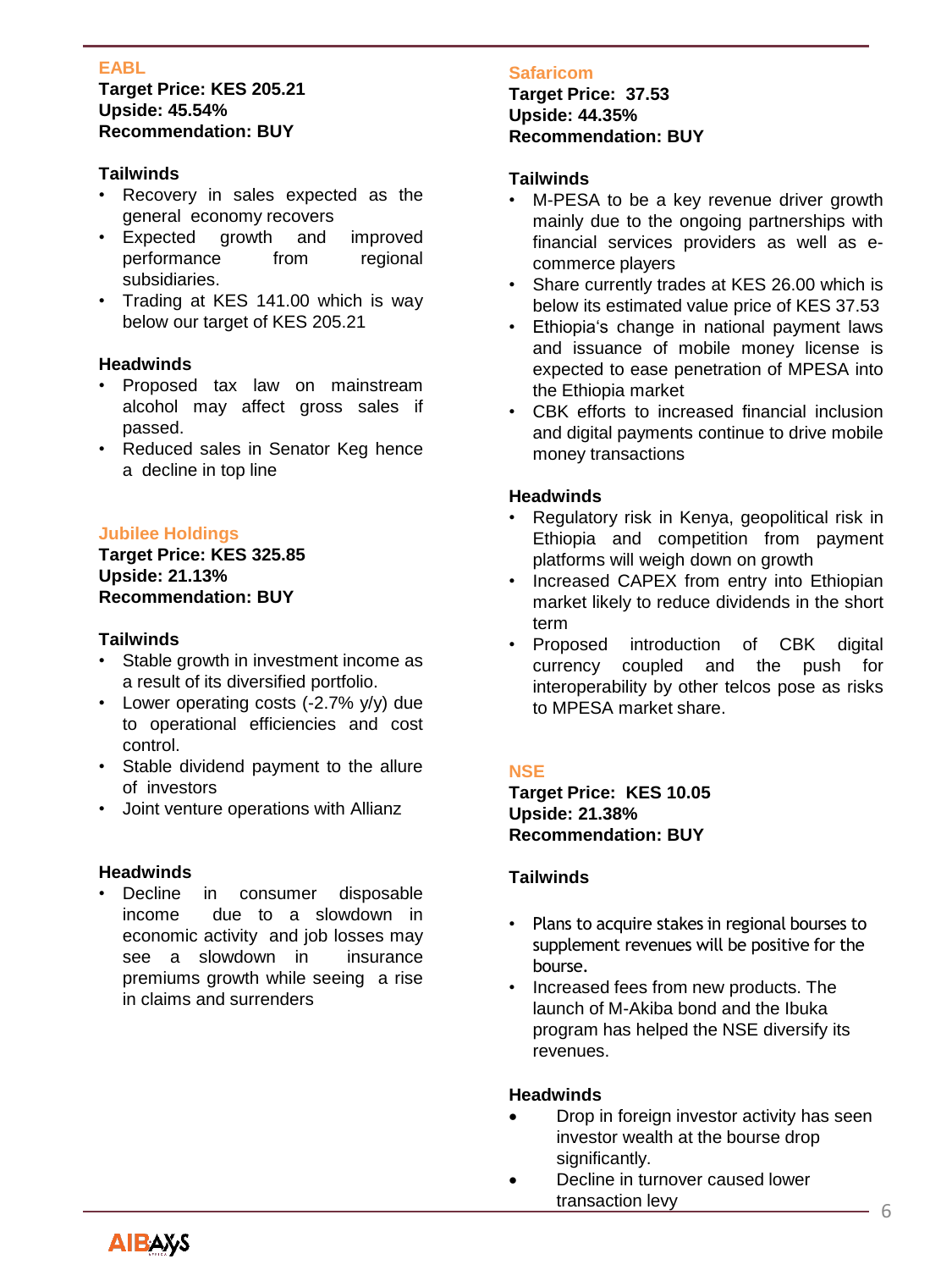## **EABL**

#### **Target Price: KES 205.21 Upside: 45.54% Recommendation: BUY**

## **Tailwinds**

- Recovery in sales expected as the general economy recovers
- Expected growth and improved performance from regional subsidiaries.
- Trading at KES 141.00 which is way below our target of KES 205.21

## **Headwinds**

- Proposed tax law on mainstream alcohol may affect gross sales if passed.
- Reduced sales in Senator Keg hence a decline in top line

## **Jubilee Holdings**

## **Target Price: KES 325.85 Upside: 21.13% Recommendation: BUY**

#### **Tailwinds**

- Stable growth in investment income as a result of its diversified portfolio.
- Lower operating costs (-2.7% y/y) due to operational efficiencies and cost control.
- Stable dividend payment to the allure of investors
- Joint venture operations with Allianz

#### **Headwinds**

Decline in consumer disposable income due to a slowdown in economic activity and job losses may see a slowdown in insurance premiums growth while seeing a rise in claims and surrenders

## **Safaricom**

**Target Price: 37.53 Upside: 44.35% Recommendation: BUY**

#### **Tailwinds**

- M-PESA to be a key revenue driver growth mainly due to the ongoing partnerships with financial services providers as well as ecommerce players
- Share currently trades at KES 26.00 which is below its estimated value price of KES 37.53
- Ethiopia's change in national payment laws and issuance of mobile money license is expected to ease penetration of MPESA into the Ethiopia market
- CBK efforts to increased financial inclusion and digital payments continue to drive mobile money transactions

#### **Headwinds**

- Regulatory risk in Kenya, geopolitical risk in Ethiopia and competition from payment platforms will weigh down on growth
- Increased CAPEX from entry into Ethiopian market likely to reduce dividends in the short term
- Proposed introduction of CBK digital currency coupled and the push for interoperability by other telcos pose as risks to MPESA market share.

#### **NSE**

**Target Price: KES 10.05 Upside: 21.38% Recommendation: BUY**

#### **Tailwinds**

- Plans to acquire stakes in regional bourses to supplement revenues will be positive for the bourse.
- Increased fees from new products. The launch of M-Akiba bond and the Ibuka program has helped the NSE diversify its revenues.

#### **Headwinds**

- Drop in foreign investor activity has seen investor wealth at the bourse drop significantly.
- Decline in turnover caused lower transaction levy 6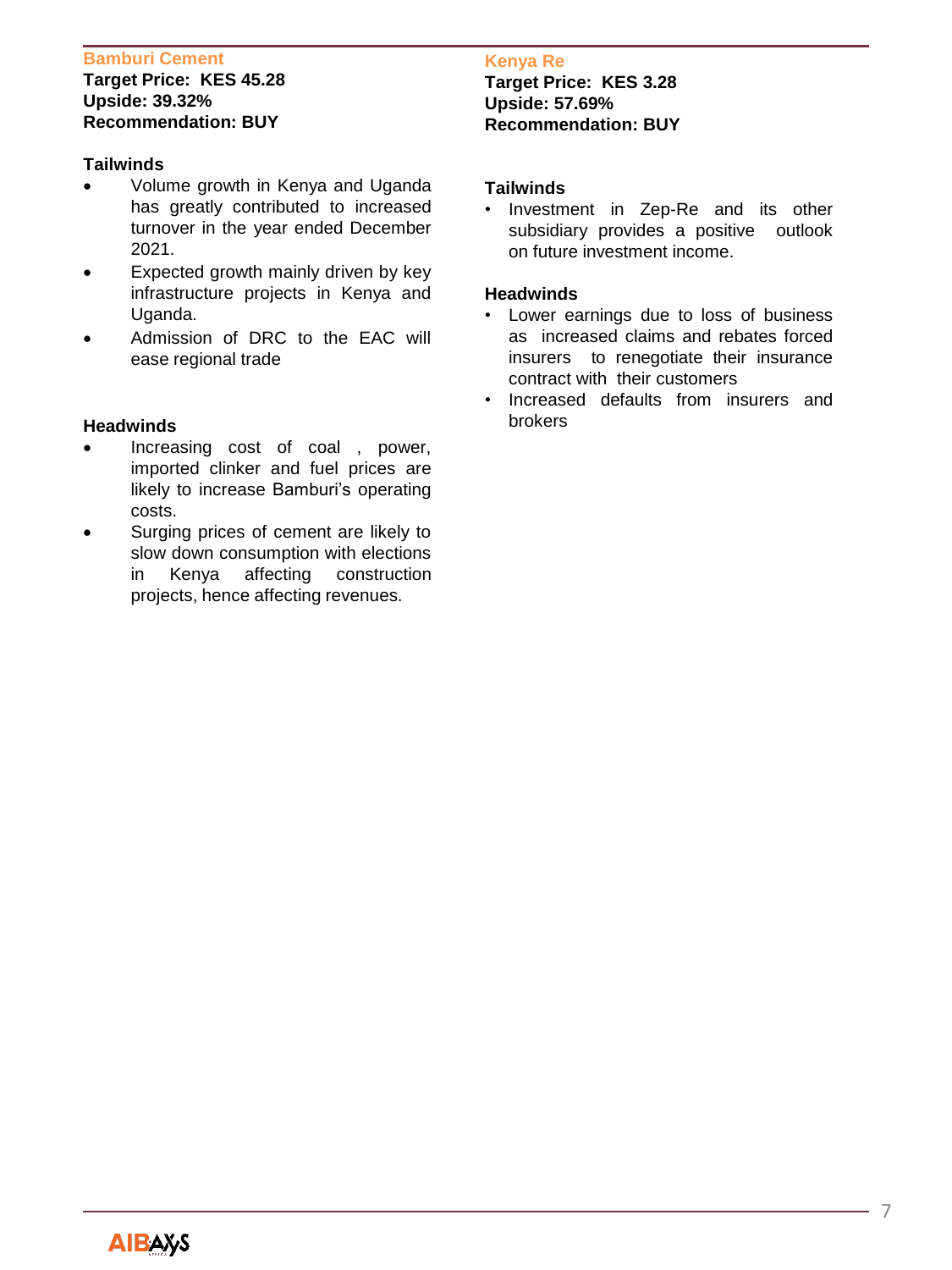#### **Bamburi Cement**

#### **Target Price: KES 45.28 Upside: 39.32% Recommendation: BUY**

#### **Tailwinds**

- Volume growth in Kenya and Uganda has greatly contributed to increased turnover in the year ended December 2021.
- Expected growth mainly driven by key infrastructure projects in Kenya and Uganda.
- Admission of DRC to the EAC will ease regional trade

#### **Headwinds**

- Increasing cost of coal , power, imported clinker and fuel prices are likely to increase Bamburi's operating costs.
- Surging prices of cement are likely to slow down consumption with elections in Kenya affecting construction projects, hence affecting revenues.

#### **Kenya Re**

**Target Price: KES 3.28 Upside: 57.69% Recommendation: BUY**

#### **Tailwinds**

• Investment in Zep-Re and its other subsidiary provides a positive outlook on future investment income.

#### **Headwinds**

- Lower earnings due to loss of business as increased claims and rebates forced insurers to renegotiate their insurance contract with their customers
- Increased defaults from insurers and brokers